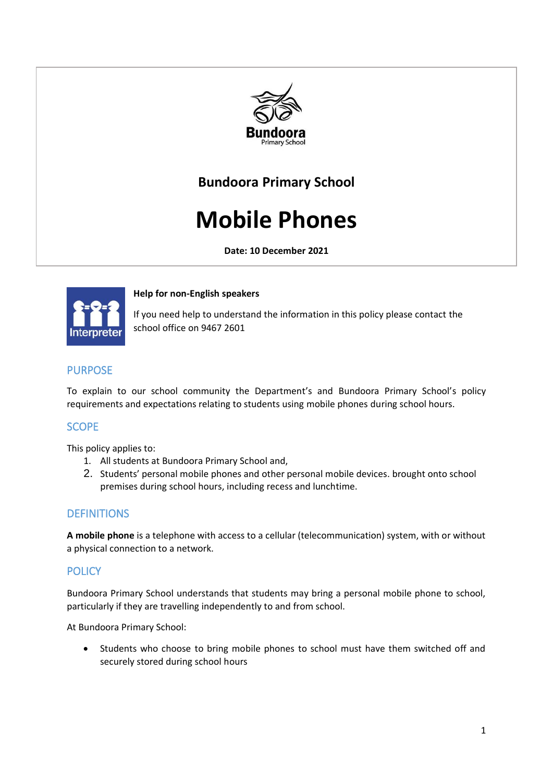

## **Bundoora Primary School**

# **Mobile Phones**

**Date: 10 December 2021**



**Help for non-English speakers**

If you need help to understand the information in this policy please contact the school office on 9467 2601

## PURPOSE

To explain to our school community the Department's and Bundoora Primary School's policy requirements and expectations relating to students using mobile phones during school hours.

## **SCOPE**

This policy applies to:

- 1. All students at Bundoora Primary School and,
- 2. Students' personal mobile phones and other personal mobile devices. brought onto school premises during school hours, including recess and lunchtime.

## **DEFINITIONS**

**A mobile phone** is a telephone with access to a cellular (telecommunication) system, with or without a physical connection to a network.

## **POLICY**

Bundoora Primary School understands that students may bring a personal mobile phone to school, particularly if they are travelling independently to and from school.

At Bundoora Primary School:

• Students who choose to bring mobile phones to school must have them switched off and securely stored during school hours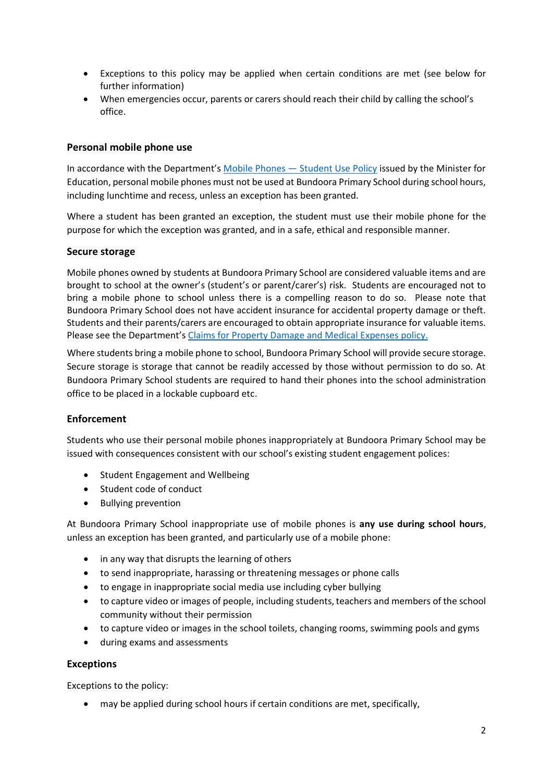- Exceptions to this policy may be applied when certain conditions are met (see below for further information)
- When emergencies occur, parents or carers should reach their child by calling the school's office.

#### **Personal mobile phone use**

In accordance with the Department's [Mobile Phones](https://www2.education.vic.gov.au/pal/students-using-mobile-phones/policy) — Student Use Policy issued by the Minister for Education, personal mobile phones must not be used at Bundoora Primary School during school hours, including lunchtime and recess, unless an exception has been granted.

Where a student has been granted an exception, the student must use their mobile phone for the purpose for which the exception was granted, and in a safe, ethical and responsible manner.

#### **Secure storage**

Mobile phones owned by students at Bundoora Primary School are considered valuable items and are brought to school at the owner's (student's or parent/carer's) risk. Students are encouraged not to bring a mobile phone to school unless there is a compelling reason to do so. Please note that Bundoora Primary School does not have accident insurance for accidental property damage or theft. Students and their parents/carers are encouraged to obtain appropriate insurance for valuable items. Please see the Department's [Claims for Property Damage and Medical Expenses](https://www2.education.vic.gov.au/pal/claims-property-damage-and-medical-expenses/policy) policy.

Where students bring a mobile phone to school, Bundoora Primary School will provide secure storage. Secure storage is storage that cannot be readily accessed by those without permission to do so. At Bundoora Primary School students are required to hand their phones into the school administration office to be placed in a lockable cupboard etc.

#### **Enforcement**

Students who use their personal mobile phones inappropriately at Bundoora Primary School may be issued with consequences consistent with our school's existing student engagement polices:

- Student Engagement and Wellbeing
- Student code of conduct
- Bullying prevention

At Bundoora Primary School inappropriate use of mobile phones is **any use during school hours**, unless an exception has been granted, and particularly use of a mobile phone:

- in any way that disrupts the learning of others
- to send inappropriate, harassing or threatening messages or phone calls
- to engage in inappropriate social media use including cyber bullying
- to capture video or images of people, including students, teachers and members of the school community without their permission
- to capture video or images in the school toilets, changing rooms, swimming pools and gyms
- during exams and assessments

#### **Exceptions**

Exceptions to the policy:

• may be applied during school hours if certain conditions are met, specifically,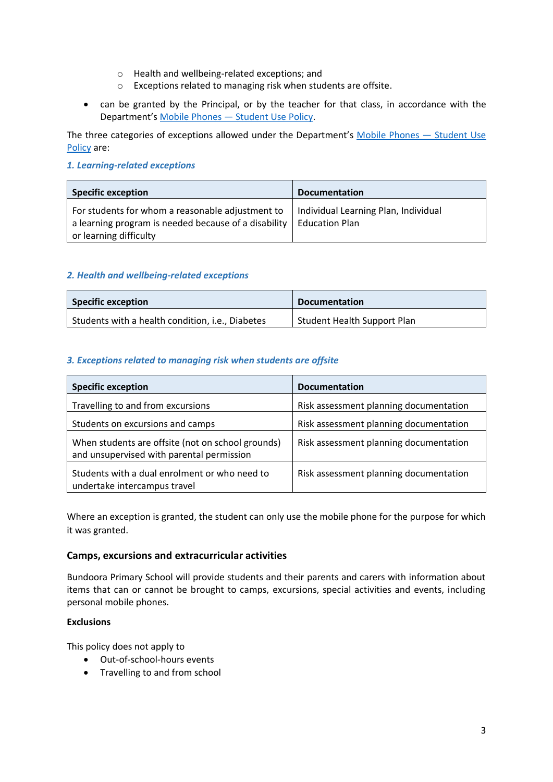- o Health and wellbeing-related exceptions; and
- o Exceptions related to managing risk when students are offsite.
- can be granted by the Principal, or by the teacher for that class, in accordance with the Department's Mobile Phones — [Student Use Policy.](https://www2.education.vic.gov.au/pal/students-using-mobile-phones/policy)

The three categories of exceptions allowed under the Department's [Mobile Phones](https://www2.education.vic.gov.au/pal/students-using-mobile-phones/policy) — Student Use [Policy](https://www2.education.vic.gov.au/pal/students-using-mobile-phones/policy) are:

#### *1. Learning-related exceptions*

| <b>Specific exception</b>                                                                                                          | <b>Documentation</b>                                          |
|------------------------------------------------------------------------------------------------------------------------------------|---------------------------------------------------------------|
| For students for whom a reasonable adjustment to<br>a learning program is needed because of a disability<br>or learning difficulty | Individual Learning Plan, Individual<br><b>Education Plan</b> |

#### *2. Health and wellbeing-related exceptions*

| <b>Specific exception</b>                        | <b>Documentation</b>               |
|--------------------------------------------------|------------------------------------|
| Students with a health condition, i.e., Diabetes | <b>Student Health Support Plan</b> |

#### *3. Exceptions related to managing risk when students are offsite*

| <b>Specific exception</b>                                                                      | <b>Documentation</b>                   |
|------------------------------------------------------------------------------------------------|----------------------------------------|
| Travelling to and from excursions                                                              | Risk assessment planning documentation |
| Students on excursions and camps                                                               | Risk assessment planning documentation |
| When students are offsite (not on school grounds)<br>and unsupervised with parental permission | Risk assessment planning documentation |
| Students with a dual enrolment or who need to<br>undertake intercampus travel                  | Risk assessment planning documentation |

Where an exception is granted, the student can only use the mobile phone for the purpose for which it was granted.

#### **Camps, excursions and extracurricular activities**

Bundoora Primary School will provide students and their parents and carers with information about items that can or cannot be brought to camps, excursions, special activities and events, including personal mobile phones.

#### **Exclusions**

This policy does not apply to

- Out-of-school-hours events
- Travelling to and from school